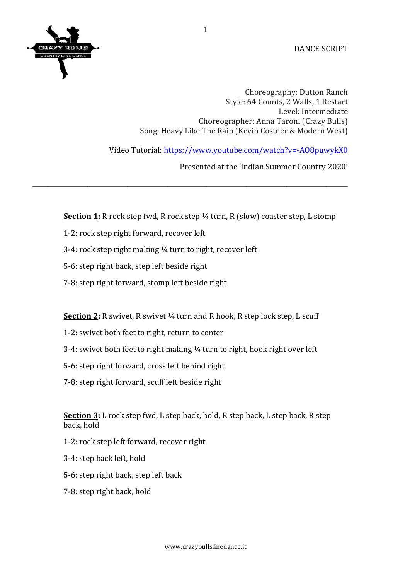

DANCE SCRIPT

Choreography: Dutton Ranch Style: 64 Counts, 2 Walls, 1 Restart Level: Intermediate Choreographer: Anna Taroni (Crazy Bulls) Song: Heavy Like The Rain (Kevin Costner & Modern West)

Video Tutorial: https://www.youtube.com/watch?v=-AO8puwykX0

Presented at the 'Indian Summer Country 2020'

**Section 1:** R rock step fwd, R rock step  $\frac{1}{4}$  turn, R (slow) coaster step, L stomp

\_\_\_\_\_\_\_\_\_\_\_\_\_\_\_\_\_\_\_\_\_\_\_\_\_\_\_\_\_\_\_\_\_\_\_\_\_\_\_\_\_\_\_\_\_\_\_\_\_\_\_\_\_\_\_\_\_\_\_\_\_\_\_\_\_\_\_\_\_\_\_\_\_\_\_\_\_\_\_\_\_\_\_\_\_\_\_\_\_\_\_\_\_\_\_\_\_\_\_\_\_\_\_

- 1-2: rock step right forward, recover left
- 3-4: rock step right making  $\frac{1}{4}$  turn to right, recover left
- 5-6: step right back, step left beside right
- 7-8: step right forward, stomp left beside right

**Section 2:** R swivet, R swivet 1/4 turn and R hook, R step lock step, L scuff

- 1-2: swivet both feet to right, return to center
- 3-4: swivet both feet to right making 1/4 turn to right, hook right over left
- 5-6: step right forward, cross left behind right
- 7-8: step right forward, scuff left beside right

**<u>Section 3</u>:** L rock step fwd, L step back, hold, R step back, L step back, R step back, hold

- 1-2: rock step left forward, recover right
- 3-4: step back left, hold
- 5-6: step right back, step left back
- 7-8: step right back, hold

1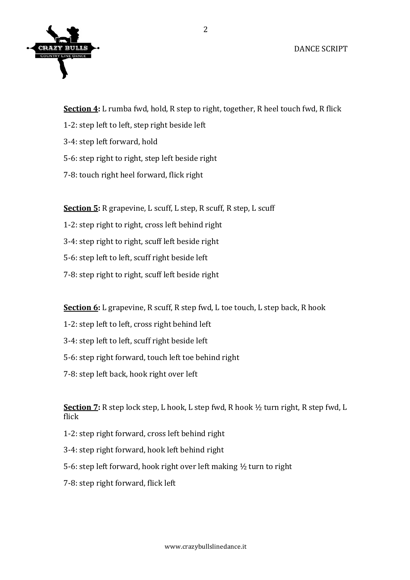

**Section 4:** L rumba fwd, hold, R step to right, together, R heel touch fwd, R flick

- 1-2: step left to left, step right beside left
- 3-4: step left forward, hold
- 5-6: step right to right, step left beside right
- 7-8: touch right heel forward, flick right

**Section 5:** R grapevine, L scuff, L step, R scuff, R step, L scuff

- 1-2: step right to right, cross left behind right
- 3-4: step right to right, scuff left beside right
- 5-6: step left to left, scuff right beside left
- 7-8: step right to right, scuff left beside right

**Section 6:** L grapevine, R scuff, R step fwd, L toe touch, L step back, R hook

- 1-2: step left to left, cross right behind left
- 3-4: step left to left, scuff right beside left
- 5-6: step right forward, touch left toe behind right
- 7-8: step left back, hook right over left

**Section 7:** R step lock step, L hook, L step fwd, R hook  $\frac{1}{2}$  turn right, R step fwd, L flick 

- 1-2: step right forward, cross left behind right
- 3-4: step right forward, hook left behind right
- 5-6: step left forward, hook right over left making  $\frac{1}{2}$  turn to right
- 7-8: step right forward, flick left